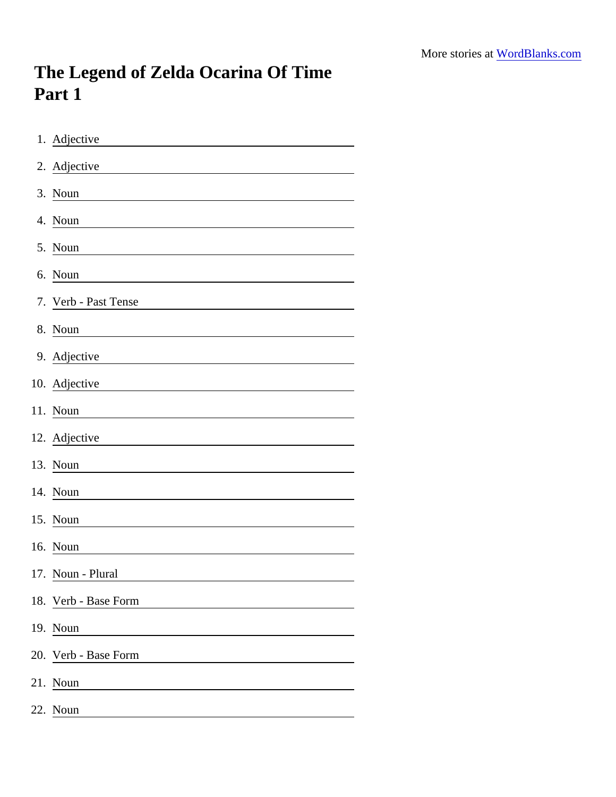## The Legend of Zelda Ocarina Of Time Part 1

| 1. Adjective                                                     |
|------------------------------------------------------------------|
| 2. Adjective                                                     |
| 3. Noun                                                          |
| 4. Noun                                                          |
| 5. Noun                                                          |
| 6. Noun                                                          |
| 7. Verb - Past Tense                                             |
| 8. Noun                                                          |
| 9. Adjective                                                     |
| 10. Adjective                                                    |
| 11. Noun                                                         |
| 12. Adjective                                                    |
| 13. Noun<br><u> 1980 - Johann Barn, fransk politik (d. 1980)</u> |
| 14. Noun                                                         |
| 15. Noun                                                         |
| 16. Noun                                                         |
| 17. Noun - Plural                                                |
| 18. Verb - Base Form                                             |
| 19. Noun                                                         |
| 20. Verb - Base Form                                             |
| 21. Noun                                                         |
| 22. Noun                                                         |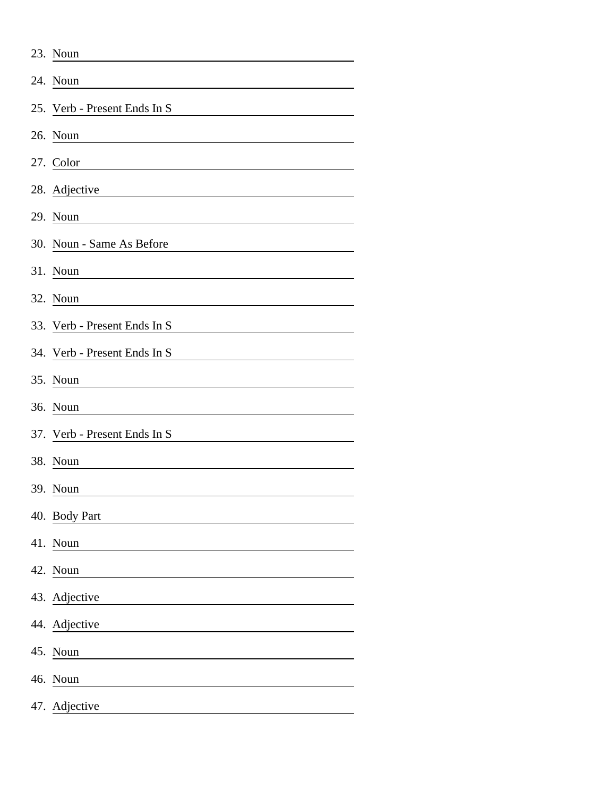|     | 23. Noun                     |
|-----|------------------------------|
|     | 24. Noun                     |
|     | 25. Verb - Present Ends In S |
|     | 26. Noun                     |
|     | 27. Color                    |
|     | 28. Adjective                |
|     | 29. Noun                     |
|     | 30. Noun - Same As Before    |
|     | 31. Noun                     |
|     | 32. Noun                     |
|     | 33. Verb - Present Ends In S |
|     | 34. Verb - Present Ends In S |
|     | 35. Noun                     |
|     | 36. Noun                     |
|     | 37. Verb - Present Ends In S |
|     | 38. Noun                     |
|     | 39. Noun                     |
|     | 40. Body Part                |
|     | 41. Noun                     |
|     | 42. Noun                     |
|     | 43. Adjective                |
|     | 44. Adjective                |
|     | 45. Noun                     |
|     | 46. Noun                     |
| 47. | Adjective                    |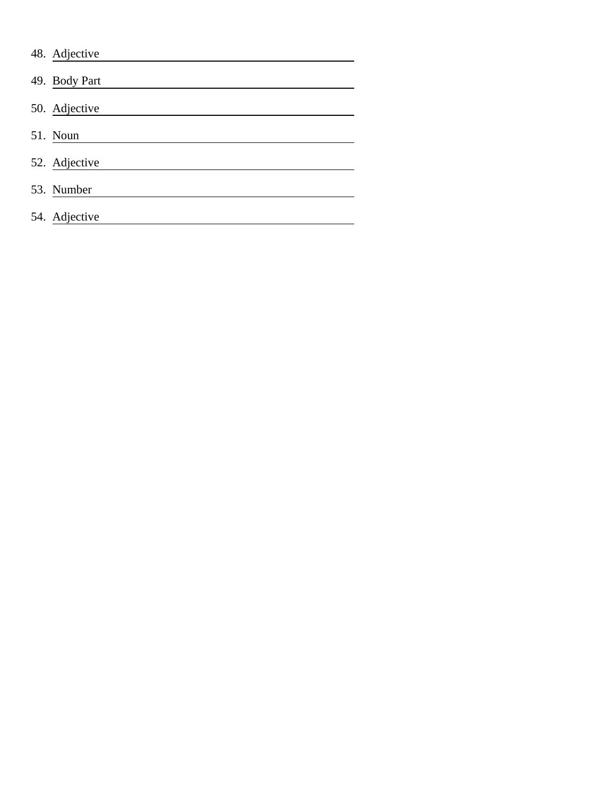| 48. Adjective |
|---------------|
| 49. Body Part |
| 50. Adjective |
| 51. Noun      |
| 52. Adjective |
| 53. Number    |
| 54. Adjective |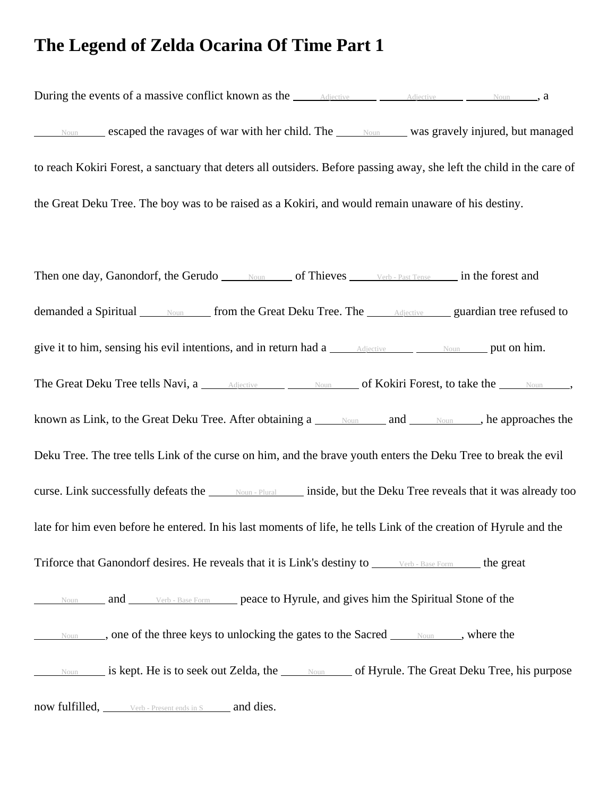## **The Legend of Zelda Ocarina Of Time Part 1**

During the events of a massive conflict known as the <u>Adjective Adjective Adjective</u> Moun , a  $N_{\text{Oun}}$  escaped the ravages of war with her child. The  $N_{\text{Oun}}$  was gravely injured, but managed to reach Kokiri Forest, a sanctuary that deters all outsiders. Before passing away, she left the child in the care of the Great Deku Tree. The boy was to be raised as a Kokiri, and would remain unaware of his destiny.

Then one day, Ganondorf, the Gerudo Noun of Thieves Verb - Past Tense in the forest and demanded a Spiritual  $\Box$  Noun from the Great Deku Tree. The Adjective guardian tree refused to give it to him, sensing his evil intentions, and in return had a  $\overline{\phantom{a}}$  Adjective  $\overline{\phantom{a}}$  Noun put on him. The Great Deku Tree tells Navi, a Adjective Noun of Kokiri Forest, to take the Noun , known as Link, to the Great Deku Tree. After obtaining  $a_1$  Noun and Noun , he approaches the Deku Tree. The tree tells Link of the curse on him, and the brave youth enters the Deku Tree to break the evil curse. Link successfully defeats the Noun - Plural inside, but the Deku Tree reveals that it was already too late for him even before he entered. In his last moments of life, he tells Link of the creation of Hyrule and the Triforce that Ganondorf desires. He reveals that it is Link's destiny to  $\frac{\text{Vert}-\text{Base Form}}{\text{Vert}}$  the great Noun and Verb - Base Form peace to Hyrule, and gives him the Spiritual Stone of the  $N<sub>OM</sub>$ , one of the three keys to unlocking the gates to the Sacred  $\_\_\_\_\_\_\_\_\_\$ , where the  $N_{\text{Oun}}$  is kept. He is to seek out Zelda, the  $N_{\text{Oun}}$  of Hyrule. The Great Deku Tree, his purpose now fulfilled, Verb - Present ends in S and dies.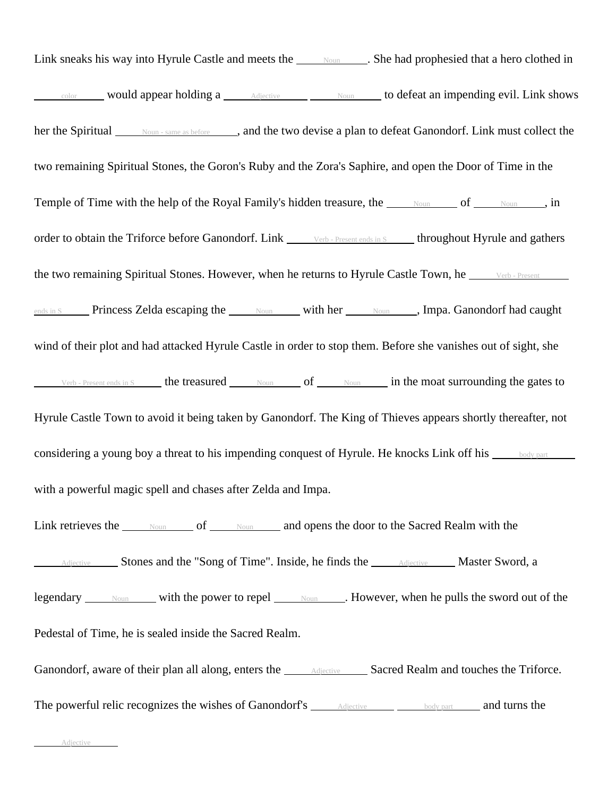Link sneaks his way into Hyrule Castle and meets the Noun . She had prophesied that a hero clothed in  $\epsilon_{\text{color}}$  would appear holding a  $\epsilon_{\text{Adjective}}$   $\epsilon_{\text{Mour}}$  to defeat an impending evil. Link shows her the Spiritual Noun - same as before , and the two devise a plan to defeat Ganondorf. Link must collect the two remaining Spiritual Stones, the Goron's Ruby and the Zora's Saphire, and open the Door of Time in the Temple of Time with the help of the Royal Family's hidden treasure, the Noun of Noun , in order to obtain the Triforce before Ganondorf. Link Verb - Present ends in S throughout Hyrule and gathers the two remaining Spiritual Stones. However, when he returns to Hyrule Castle Town, he ends in S Princess Zelda escaping the  $\Box$  Noun with her  $\Box$  Noun , Impa. Ganondorf had caught wind of their plot and had attacked Hyrule Castle in order to stop them. Before she vanishes out of sight, she Verb - Present ends in S the treasured  $\frac{N_{\text{Oun}}}{N_{\text{Oun}}}$  of  $\frac{N_{\text{Oun}}}{N_{\text{Oun}}}$  in the moat surrounding the gates to Hyrule Castle Town to avoid it being taken by Ganondorf. The King of Thieves appears shortly thereafter, not considering a young boy a threat to his impending conquest of Hyrule. He knocks Link off his  $\frac{\text{body part}}{\text{body part}}$ with a powerful magic spell and chases after Zelda and Impa. Link retrieves the Noun of Noun and opens the door to the Sacred Realm with the Adjective Stones and the "Song of Time". Inside, he finds the Adjective Master Sword, a legendary <u>Noun</u> with the power to repel <u>Noun</u> . However, when he pulls the sword out of the Pedestal of Time, he is sealed inside the Sacred Realm. Ganondorf, aware of their plan all along, enters the Adjective Sacred Realm and touches the Triforce. The powerful relic recognizes the wishes of Ganondorf's  $\frac{\text{Adjective}}{\text{Adjective}}$  body part and turns the

Adjective